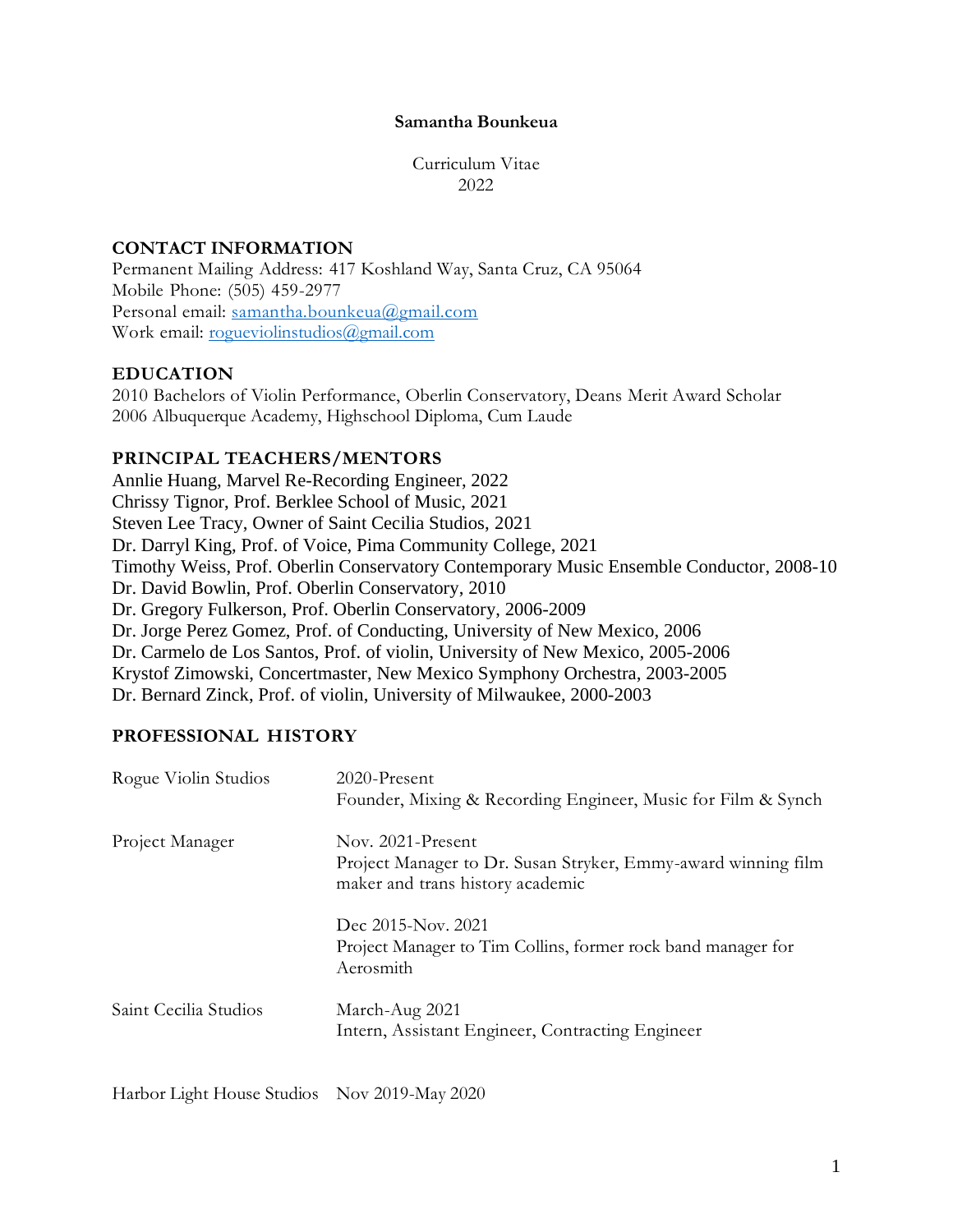### **Samantha Bounkeua**

Curriculum Vitae 2022

# **CONTACT INFORMATION**

Permanent Mailing Address: 417 Koshland Way, Santa Cruz, CA 95064 Mobile Phone: (505) 459-2977 Personal email: [samantha.bounkeua@gmail.com](mailto:samantha.bounkeua@gmail.com) Work email: [rogueviolinstudios@gmail.com](mailto:rogueviolinstudios@gmail.com)

# **EDUCATION**

2010 Bachelors of Violin Performance, Oberlin Conservatory, Deans Merit Award Scholar 2006 Albuquerque Academy, Highschool Diploma, Cum Laude

# **PRINCIPAL TEACHERS/MENTORS**

Annlie Huang, Marvel Re-Recording Engineer, 2022 Chrissy Tignor, Prof. Berklee School of Music, 2021 Steven Lee Tracy, Owner of Saint Cecilia Studios, 2021 Dr. Darryl King, Prof. of Voice, Pima Community College, 2021 Timothy Weiss, Prof. Oberlin Conservatory Contemporary Music Ensemble Conductor, 2008-10 Dr. David Bowlin, Prof. Oberlin Conservatory, 2010 Dr. Gregory Fulkerson, Prof. Oberlin Conservatory, 2006-2009 Dr. Jorge Perez Gomez, Prof. of Conducting, University of New Mexico, 2006 Dr. Carmelo de Los Santos, Prof. of violin, University of New Mexico, 2005-2006 Krystof Zimowski, Concertmaster, New Mexico Symphony Orchestra, 2003-2005 Dr. Bernard Zinck, Prof. of violin, University of Milwaukee, 2000-2003

# **PROFESSIONAL HISTORY**

| Rogue Violin Studios  | 2020-Present<br>Founder, Mixing & Recording Engineer, Music for Film & Synch                                           |
|-----------------------|------------------------------------------------------------------------------------------------------------------------|
| Project Manager       | Nov. 2021-Present<br>Project Manager to Dr. Susan Stryker, Emmy-award winning film<br>maker and trans history academic |
|                       | Dec 2015-Nov. 2021<br>Project Manager to Tim Collins, former rock band manager for<br>Aerosmith                        |
| Saint Cecilia Studios | March-Aug 2021<br>Intern, Assistant Engineer, Contracting Engineer                                                     |

Harbor Light House Studios Nov 2019-May 2020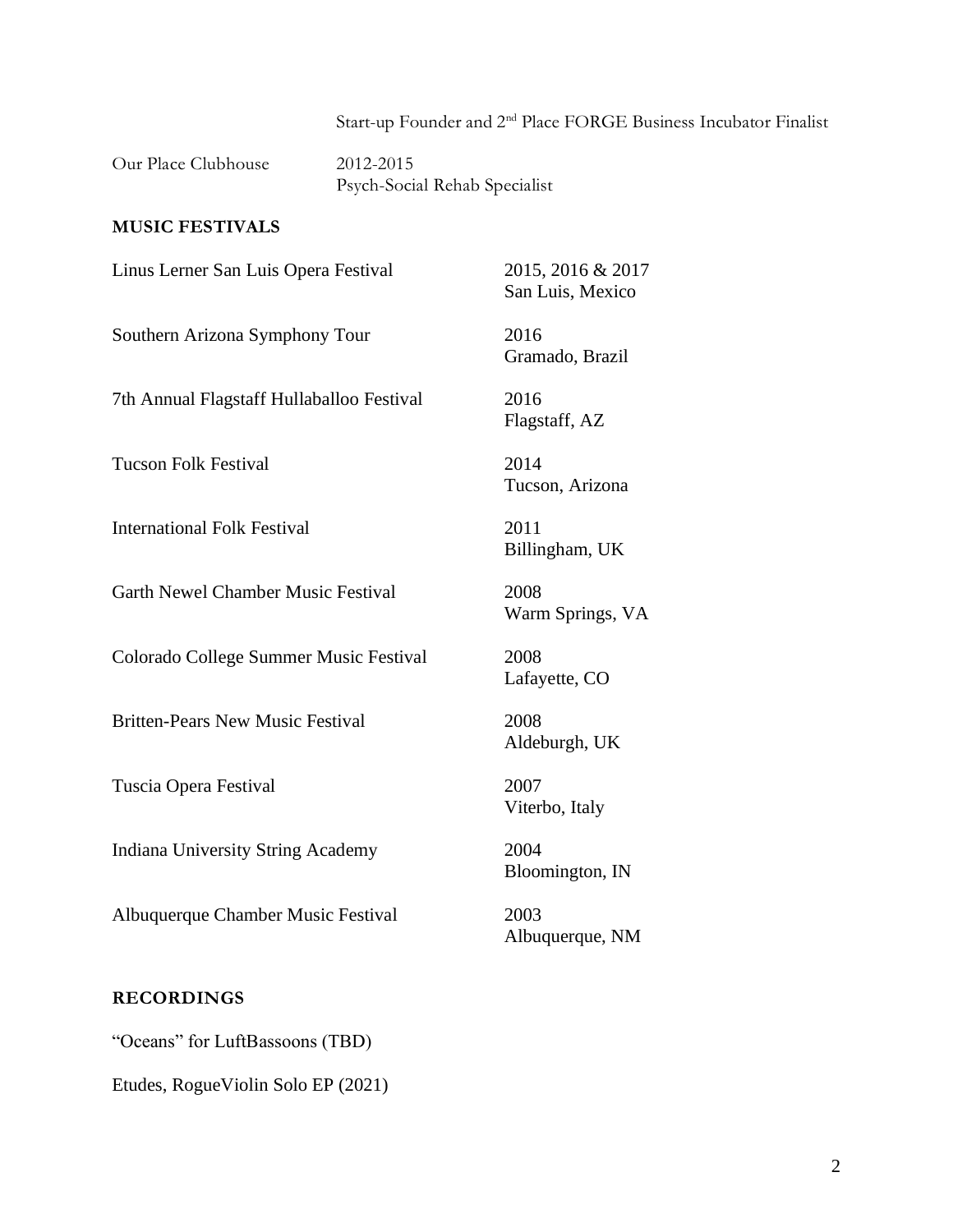Start-up Founder and 2nd Place FORGE Business Incubator Finalist

Our Place Clubhouse 2012-2015

Psych-Social Rehab Specialist

## **MUSIC FESTIVALS**

Linus Lerner San Luis Opera Festival 2015, 2016 & 2017

Southern Arizona Symphony Tour 2016

7th Annual Flagstaff Hullaballoo Festival 2016

Tucson Folk Festival 2014

International Folk Festival 2011

Garth Newel Chamber Music Festival 2008

Colorado College Summer Music Festival 2008

Britten-Pears New Music Festival 2008

Tuscia Opera Festival 2007

Indiana University String Academy 2004

Albuquerque Chamber Music Festival 2003

#### **RECORDINGS**

"Oceans" for LuftBassoons (TBD) Etudes, RogueViolin Solo EP (2021) San Luis, Mexico

Gramado, Brazil

Flagstaff, AZ

Tucson, Arizona

Billingham, UK

Warm Springs, VA

Lafayette, CO

Aldeburgh, UK

Viterbo, Italy

Bloomington, IN

Albuquerque, NM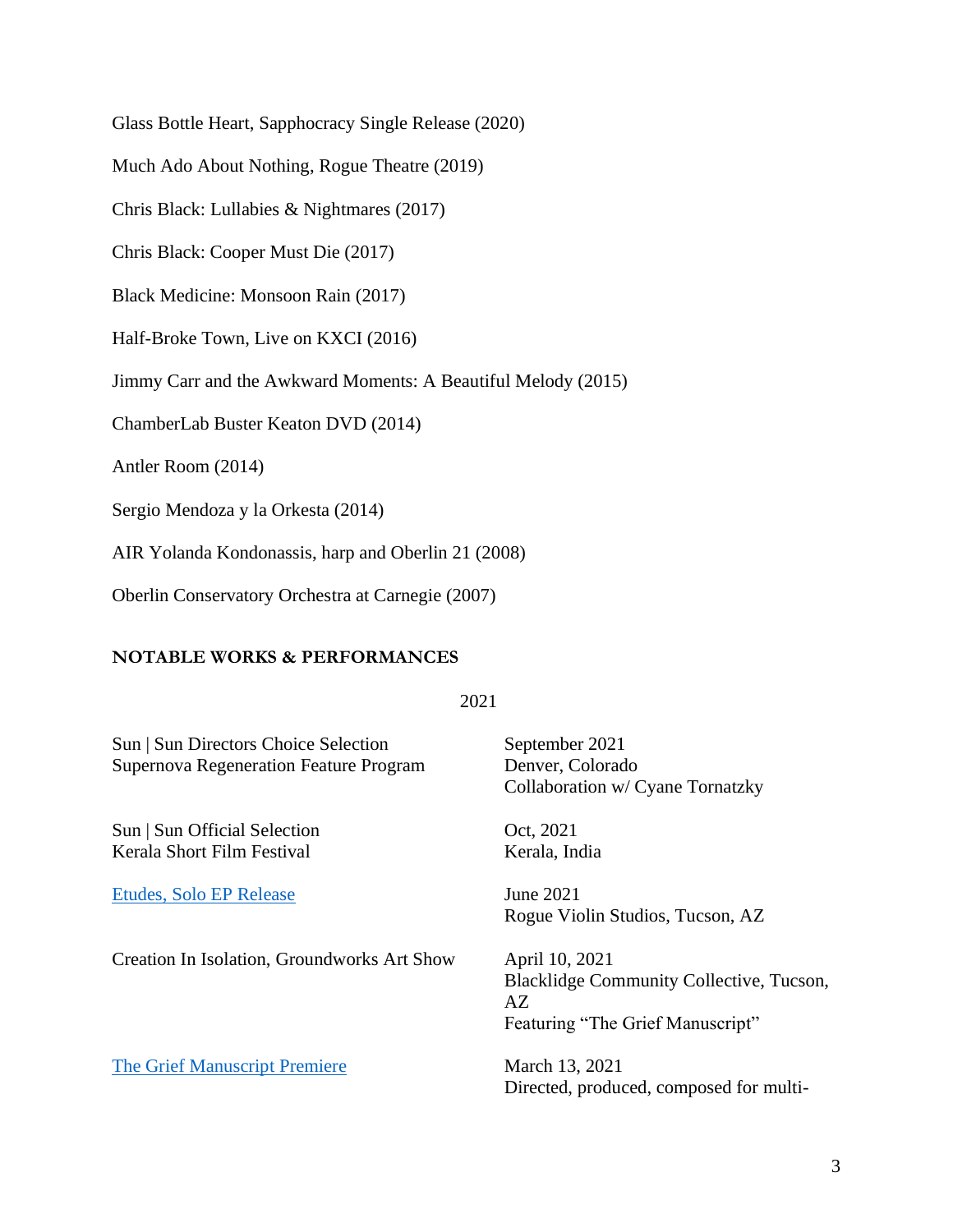Glass Bottle Heart, Sapphocracy Single Release (2020)

Much Ado About Nothing, Rogue Theatre (2019)

Chris Black: Lullabies & Nightmares (2017)

Chris Black: Cooper Must Die (2017)

Black Medicine: Monsoon Rain (2017)

Half-Broke Town, Live on KXCI (2016)

Jimmy Carr and the Awkward Moments: A Beautiful Melody (2015)

ChamberLab Buster Keaton DVD (2014)

Antler Room (2014)

Sergio Mendoza y la Orkesta (2014)

AIR Yolanda Kondonassis, harp and Oberlin 21 (2008)

Oberlin Conservatory Orchestra at Carnegie (2007)

### **NOTABLE WORKS & PERFORMANCES**

### 2021

Sun | Sun Directors Choice Selection September 2021 Supernova Regeneration Feature Program Denver, Colorado Collaboration w/ Cyane Tornatzky Sun | Sun Official Selection Oct, 2021 Kerala Short Film Festival Kerala, India [Etudes, Solo EP Release](https://www.youtube.com/playlist?list=PLXUeYpueB8wxW0i52JPqnHKajBq3IjPbr) June 2021 Rogue Violin Studios, Tucson, AZ Creation In Isolation, Groundworks Art Show April 10, 2021

[The Grief Manuscript Premiere](https://youtu.be/j71Y4cEnaqQ) March 13, 2021

Blacklidge Community Collective, Tucson, AZ Featuring "The Grief Manuscript"

Directed, produced, composed for multi-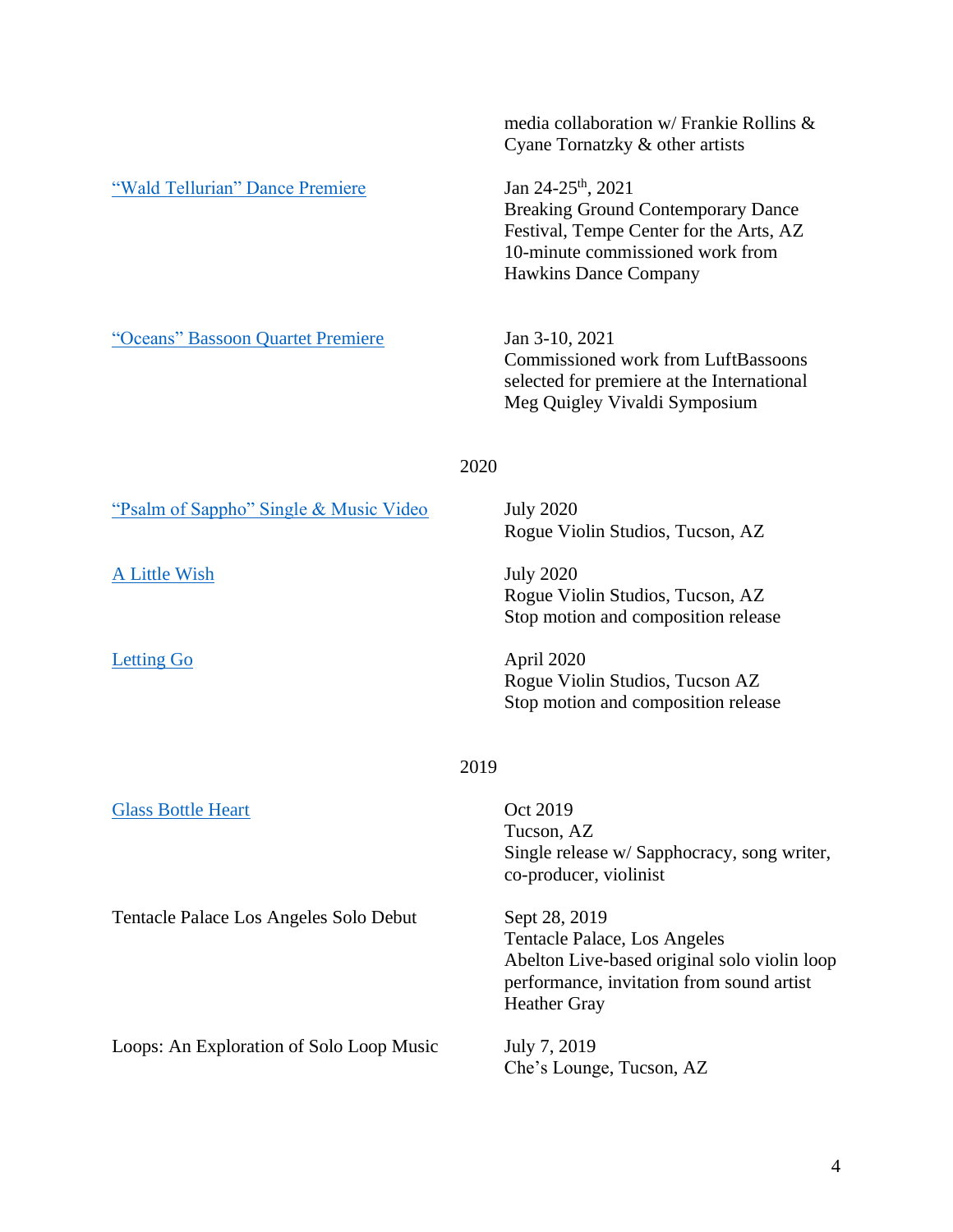|                                          | media collaboration w/ Frankie Rollins &<br>Cyane Tornatzky & other artists                                                                                                                |
|------------------------------------------|--------------------------------------------------------------------------------------------------------------------------------------------------------------------------------------------|
| "Wald Tellurian" Dance Premiere          | Jan 24-25 <sup>th</sup> , 2021<br><b>Breaking Ground Contemporary Dance</b><br>Festival, Tempe Center for the Arts, AZ<br>10-minute commissioned work from<br><b>Hawkins Dance Company</b> |
| "Oceans" Bassoon Quartet Premiere        | Jan 3-10, 2021<br>Commissioned work from LuftBassoons<br>selected for premiere at the International<br>Meg Quigley Vivaldi Symposium                                                       |
| 2020                                     |                                                                                                                                                                                            |
| "Psalm of Sappho" Single & Music Video   | <b>July 2020</b><br>Rogue Violin Studios, Tucson, AZ                                                                                                                                       |
| A Little Wish                            | <b>July 2020</b><br>Rogue Violin Studios, Tucson, AZ<br>Stop motion and composition release                                                                                                |
| <b>Letting Go</b>                        | April 2020<br>Rogue Violin Studios, Tucson AZ<br>Stop motion and composition release                                                                                                       |
| 2019                                     |                                                                                                                                                                                            |
| <b>Glass Bottle Heart</b>                | Oct 2019<br>Tucson, AZ<br>Single release w/ Sapphocracy, song writer,<br>co-producer, violinist                                                                                            |
| Tentacle Palace Los Angeles Solo Debut   | Sept 28, 2019<br>Tentacle Palace, Los Angeles<br>Abelton Live-based original solo violin loop<br>performance, invitation from sound artist<br><b>Heather Gray</b>                          |
| Loops: An Exploration of Solo Loop Music | July 7, 2019<br>Che's Lounge, Tucson, AZ                                                                                                                                                   |
|                                          |                                                                                                                                                                                            |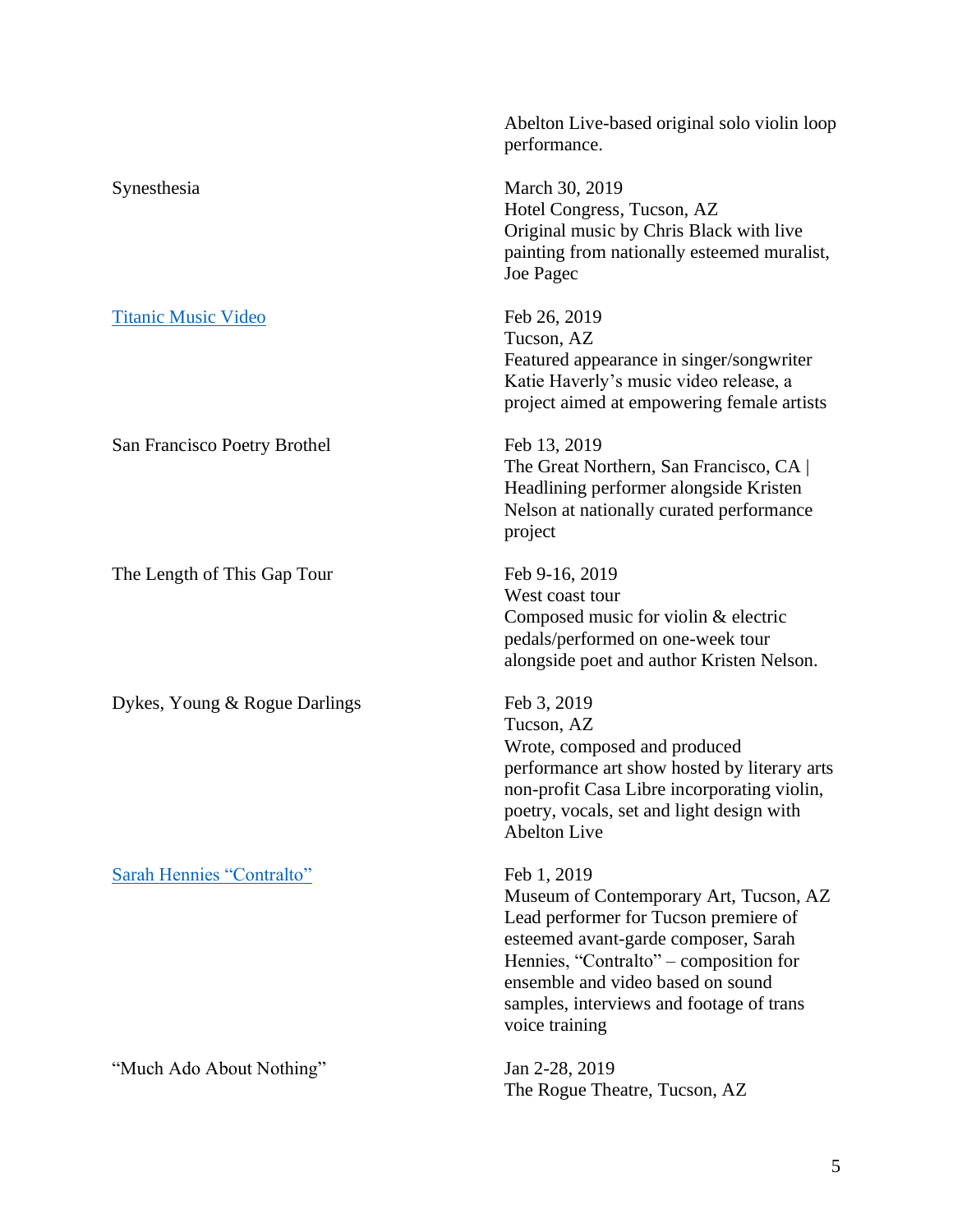|                                  | Abelton Live-based original solo violin loop<br>performance.                                                                                                                                                                                                                        |
|----------------------------------|-------------------------------------------------------------------------------------------------------------------------------------------------------------------------------------------------------------------------------------------------------------------------------------|
| Synesthesia                      | March 30, 2019<br>Hotel Congress, Tucson, AZ<br>Original music by Chris Black with live<br>painting from nationally esteemed muralist,<br>Joe Pagec                                                                                                                                 |
| <b>Titanic Music Video</b>       | Feb 26, 2019<br>Tucson, AZ<br>Featured appearance in singer/songwriter<br>Katie Haverly's music video release, a<br>project aimed at empowering female artists                                                                                                                      |
| San Francisco Poetry Brothel     | Feb 13, 2019<br>The Great Northern, San Francisco, CA<br>Headlining performer alongside Kristen<br>Nelson at nationally curated performance<br>project                                                                                                                              |
| The Length of This Gap Tour      | Feb 9-16, 2019<br>West coast tour<br>Composed music for violin & electric<br>pedals/performed on one-week tour<br>alongside poet and author Kristen Nelson.                                                                                                                         |
| Dykes, Young & Rogue Darlings    | Feb 3, 2019<br>Tucson, AZ<br>Wrote, composed and produced<br>performance art show hosted by literary arts<br>non-profit Casa Libre incorporating violin,<br>poetry, vocals, set and light design with<br><b>Abelton Live</b>                                                        |
| <b>Sarah Hennies "Contralto"</b> | Feb 1, 2019<br>Museum of Contemporary Art, Tucson, AZ<br>Lead performer for Tucson premiere of<br>esteemed avant-garde composer, Sarah<br>Hennies, "Contralto" – composition for<br>ensemble and video based on sound<br>samples, interviews and footage of trans<br>voice training |
| "Much Ado About Nothing"         | Jan 2-28, 2019<br>The Rogue Theatre, Tucson, AZ                                                                                                                                                                                                                                     |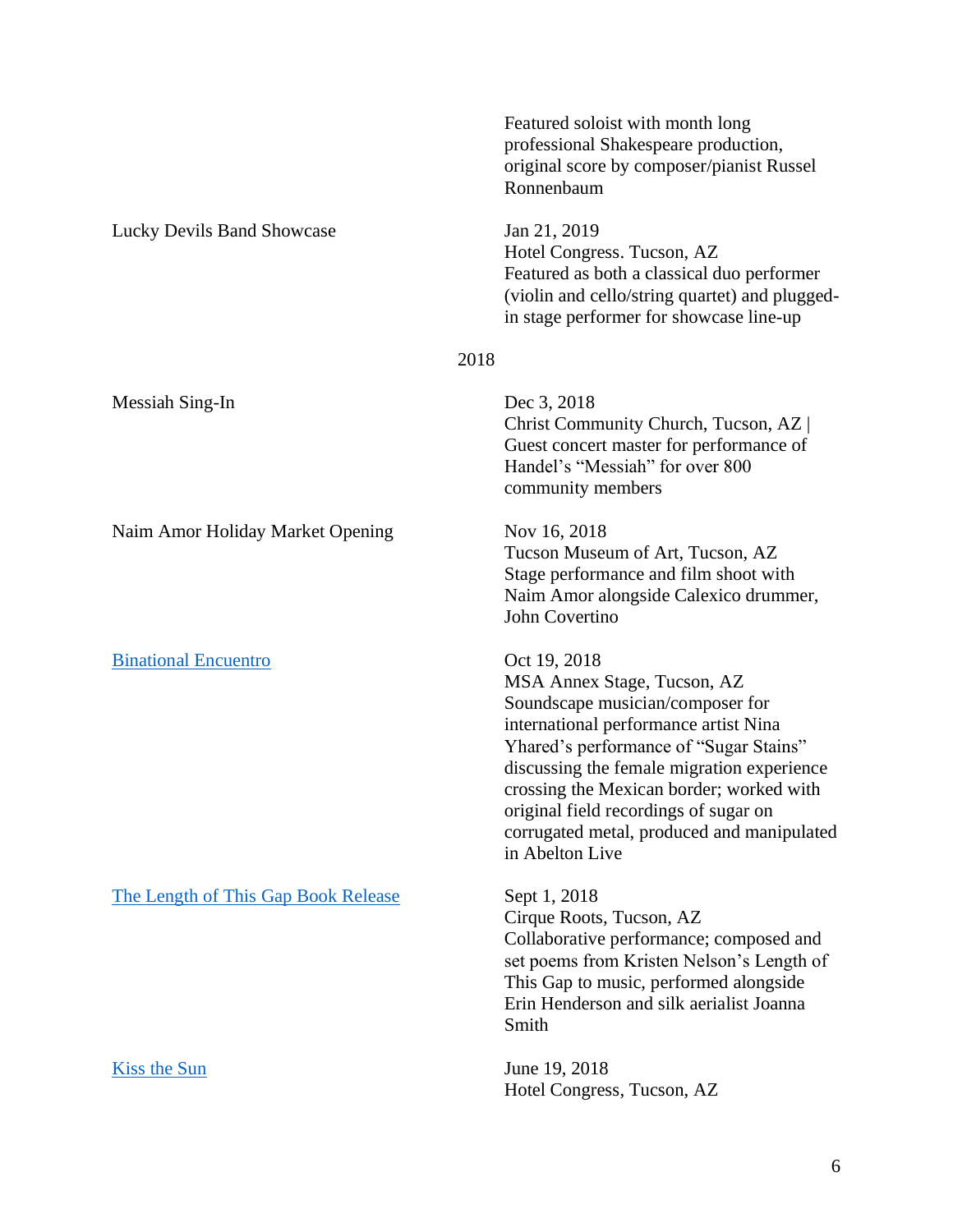|                                     | Featured soloist with month long<br>professional Shakespeare production,<br>original score by composer/pianist Russel<br>Ronnenbaum                                                                                                                                                                                                                                    |
|-------------------------------------|------------------------------------------------------------------------------------------------------------------------------------------------------------------------------------------------------------------------------------------------------------------------------------------------------------------------------------------------------------------------|
| <b>Lucky Devils Band Showcase</b>   | Jan 21, 2019<br>Hotel Congress. Tucson, AZ<br>Featured as both a classical duo performer<br>(violin and cello/string quartet) and plugged-<br>in stage performer for showcase line-up                                                                                                                                                                                  |
| 2018                                |                                                                                                                                                                                                                                                                                                                                                                        |
| Messiah Sing-In                     | Dec 3, 2018<br>Christ Community Church, Tucson, AZ<br>Guest concert master for performance of<br>Handel's "Messiah" for over 800<br>community members                                                                                                                                                                                                                  |
| Naim Amor Holiday Market Opening    | Nov 16, 2018<br>Tucson Museum of Art, Tucson, AZ<br>Stage performance and film shoot with<br>Naim Amor alongside Calexico drummer,<br>John Covertino                                                                                                                                                                                                                   |
| <b>Binational Encuentro</b>         | Oct 19, 2018<br>MSA Annex Stage, Tucson, AZ<br>Soundscape musician/composer for<br>international performance artist Nina<br>Yhared's performance of "Sugar Stains"<br>discussing the female migration experience<br>crossing the Mexican border; worked with<br>original field recordings of sugar on<br>corrugated metal, produced and manipulated<br>in Abelton Live |
| The Length of This Gap Book Release | Sept 1, 2018<br>Cirque Roots, Tucson, AZ<br>Collaborative performance; composed and<br>set poems from Kristen Nelson's Length of<br>This Gap to music, performed alongside<br>Erin Henderson and silk aerialist Joanna<br>Smith                                                                                                                                        |
| <b>Kiss the Sun</b>                 | June 19, 2018<br>Hotel Congress, Tucson, AZ                                                                                                                                                                                                                                                                                                                            |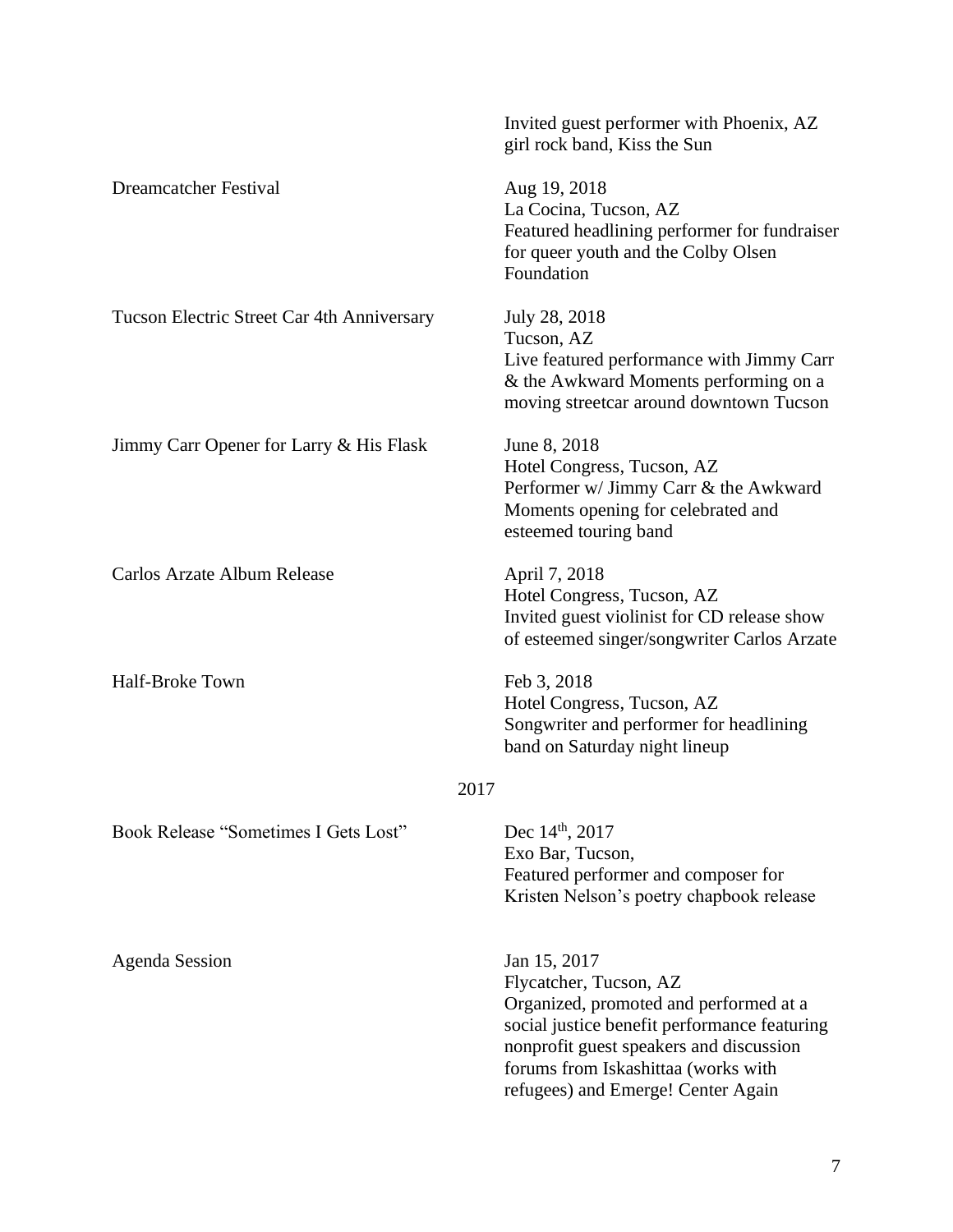|                                            | Invited guest performer with Phoenix, AZ<br>girl rock band, Kiss the Sun                                                                                                                                                                                 |
|--------------------------------------------|----------------------------------------------------------------------------------------------------------------------------------------------------------------------------------------------------------------------------------------------------------|
| <b>Dreamcatcher Festival</b>               | Aug 19, 2018<br>La Cocina, Tucson, AZ<br>Featured headlining performer for fundraiser<br>for queer youth and the Colby Olsen<br>Foundation                                                                                                               |
| Tucson Electric Street Car 4th Anniversary | July 28, 2018<br>Tucson, AZ<br>Live featured performance with Jimmy Carr<br>& the Awkward Moments performing on a<br>moving streetcar around downtown Tucson                                                                                             |
| Jimmy Carr Opener for Larry & His Flask    | June 8, 2018<br>Hotel Congress, Tucson, AZ<br>Performer w/ Jimmy Carr & the Awkward<br>Moments opening for celebrated and<br>esteemed touring band                                                                                                       |
| Carlos Arzate Album Release                | April 7, 2018<br>Hotel Congress, Tucson, AZ<br>Invited guest violinist for CD release show<br>of esteemed singer/songwriter Carlos Arzate                                                                                                                |
| <b>Half-Broke Town</b>                     | Feb 3, 2018<br>Hotel Congress, Tucson, AZ<br>Songwriter and performer for headlining<br>band on Saturday night lineup                                                                                                                                    |
| 2017                                       |                                                                                                                                                                                                                                                          |
| Book Release "Sometimes I Gets Lost"       | Dec 14 <sup>th</sup> , 2017<br>Exo Bar, Tucson,<br>Featured performer and composer for<br>Kristen Nelson's poetry chapbook release                                                                                                                       |
| <b>Agenda Session</b>                      | Jan 15, 2017<br>Flycatcher, Tucson, AZ<br>Organized, promoted and performed at a<br>social justice benefit performance featuring<br>nonprofit guest speakers and discussion<br>forums from Iskashittaa (works with<br>refugees) and Emerge! Center Again |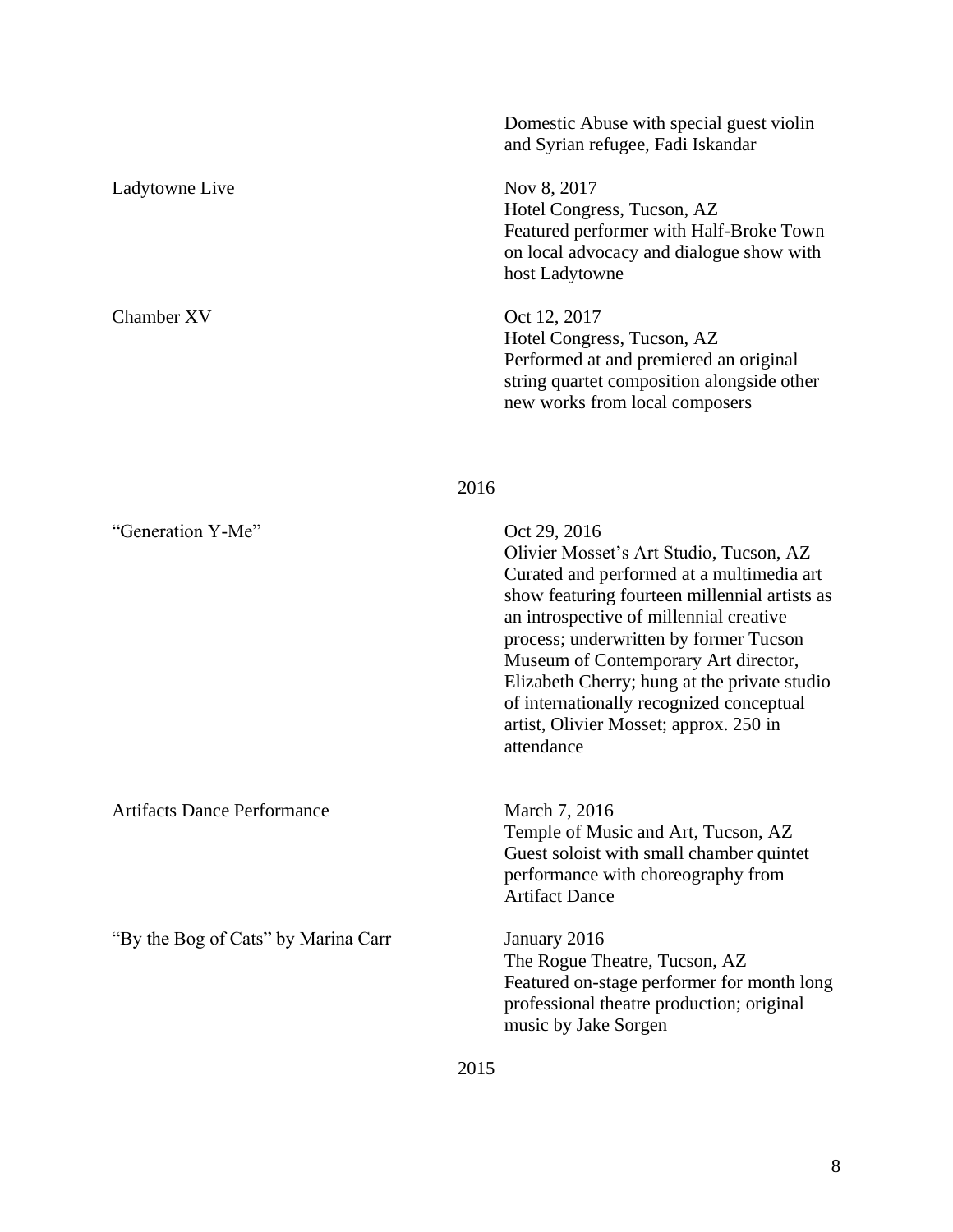|                                     | Domestic Abuse with special guest violin<br>and Syrian refugee, Fadi Iskandar                                                                                                                                                                                                                                                                                                                                                          |
|-------------------------------------|----------------------------------------------------------------------------------------------------------------------------------------------------------------------------------------------------------------------------------------------------------------------------------------------------------------------------------------------------------------------------------------------------------------------------------------|
| Ladytowne Live                      | Nov 8, 2017<br>Hotel Congress, Tucson, AZ<br>Featured performer with Half-Broke Town<br>on local advocacy and dialogue show with<br>host Ladytowne                                                                                                                                                                                                                                                                                     |
| Chamber XV                          | Oct 12, 2017<br>Hotel Congress, Tucson, AZ<br>Performed at and premiered an original<br>string quartet composition alongside other<br>new works from local composers                                                                                                                                                                                                                                                                   |
| 2016                                |                                                                                                                                                                                                                                                                                                                                                                                                                                        |
| "Generation Y-Me"                   | Oct 29, 2016<br>Olivier Mosset's Art Studio, Tucson, AZ<br>Curated and performed at a multimedia art<br>show featuring fourteen millennial artists as<br>an introspective of millennial creative<br>process; underwritten by former Tucson<br>Museum of Contemporary Art director,<br>Elizabeth Cherry; hung at the private studio<br>of internationally recognized conceptual<br>artist, Olivier Mosset; approx. 250 in<br>attendance |
| <b>Artifacts Dance Performance</b>  | March 7, 2016<br>Temple of Music and Art, Tucson, AZ<br>Guest soloist with small chamber quintet<br>performance with choreography from<br><b>Artifact Dance</b>                                                                                                                                                                                                                                                                        |
| "By the Bog of Cats" by Marina Carr | January 2016<br>The Rogue Theatre, Tucson, AZ<br>Featured on-stage performer for month long<br>professional theatre production; original<br>music by Jake Sorgen                                                                                                                                                                                                                                                                       |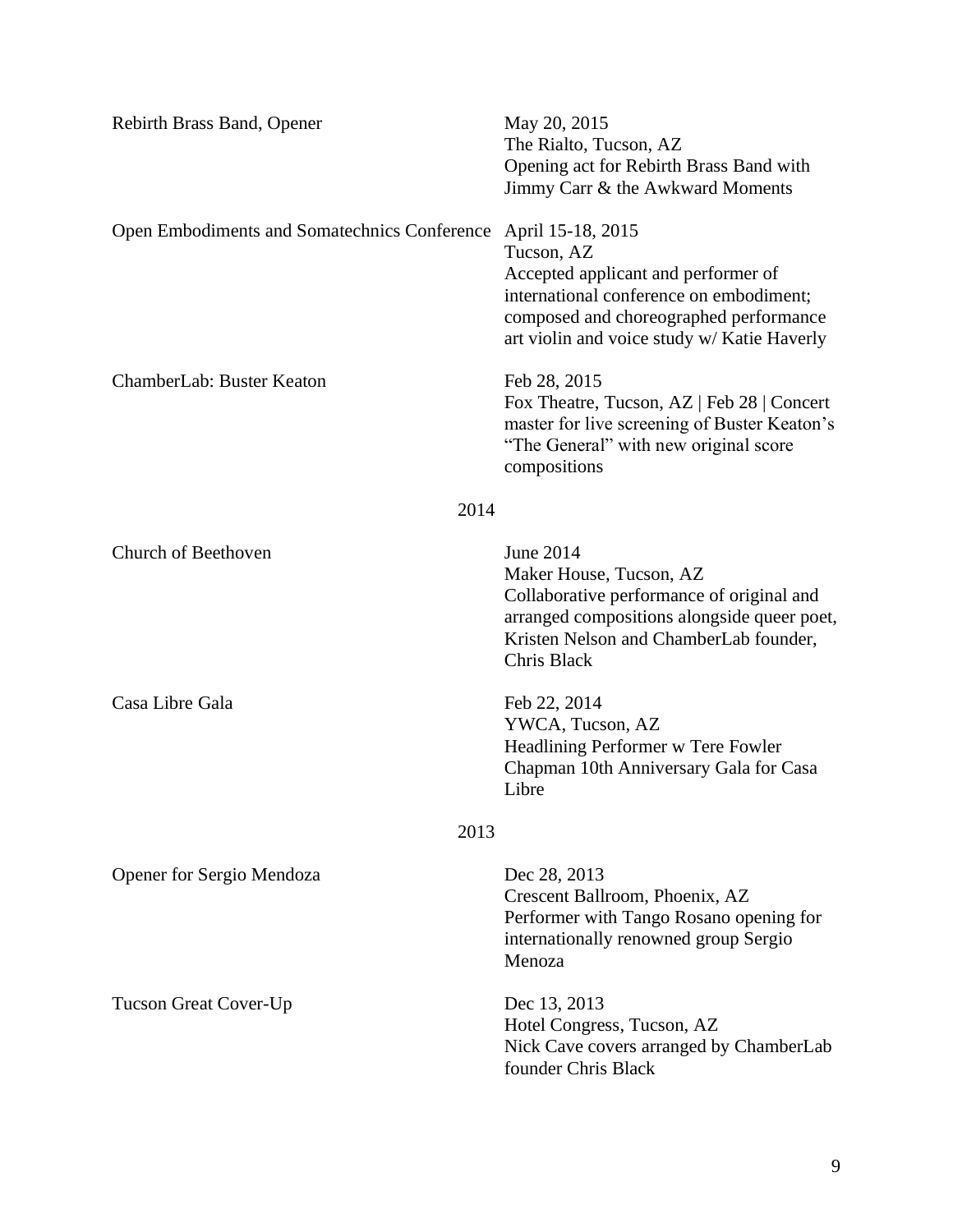| <b>Rebirth Brass Band, Opener</b>            | May 20, 2015<br>The Rialto, Tucson, AZ<br>Opening act for Rebirth Brass Band with<br>Jimmy Carr & the Awkward Moments                                                                                      |
|----------------------------------------------|------------------------------------------------------------------------------------------------------------------------------------------------------------------------------------------------------------|
| Open Embodiments and Somatechnics Conference | April 15-18, 2015<br>Tucson, AZ<br>Accepted applicant and performer of<br>international conference on embodiment;<br>composed and choreographed performance<br>art violin and voice study w/ Katie Haverly |
| ChamberLab: Buster Keaton                    | Feb 28, 2015<br>Fox Theatre, Tucson, AZ   Feb 28   Concert<br>master for live screening of Buster Keaton's<br>"The General" with new original score<br>compositions                                        |
| 2014                                         |                                                                                                                                                                                                            |
| Church of Beethoven                          | June 2014<br>Maker House, Tucson, AZ<br>Collaborative performance of original and<br>arranged compositions alongside queer poet,<br>Kristen Nelson and ChamberLab founder,<br>Chris Black                  |
| Casa Libre Gala                              | Feb 22, 2014<br>YWCA, Tucson, AZ<br>Headlining Performer w Tere Fowler<br>Chapman 10th Anniversary Gala for Casa<br>Libre                                                                                  |
| 2013                                         |                                                                                                                                                                                                            |
| Opener for Sergio Mendoza                    | Dec 28, 2013<br>Crescent Ballroom, Phoenix, AZ<br>Performer with Tango Rosano opening for<br>internationally renowned group Sergio<br>Menoza                                                               |
| <b>Tucson Great Cover-Up</b>                 | Dec 13, 2013<br>Hotel Congress, Tucson, AZ<br>Nick Cave covers arranged by ChamberLab<br>founder Chris Black                                                                                               |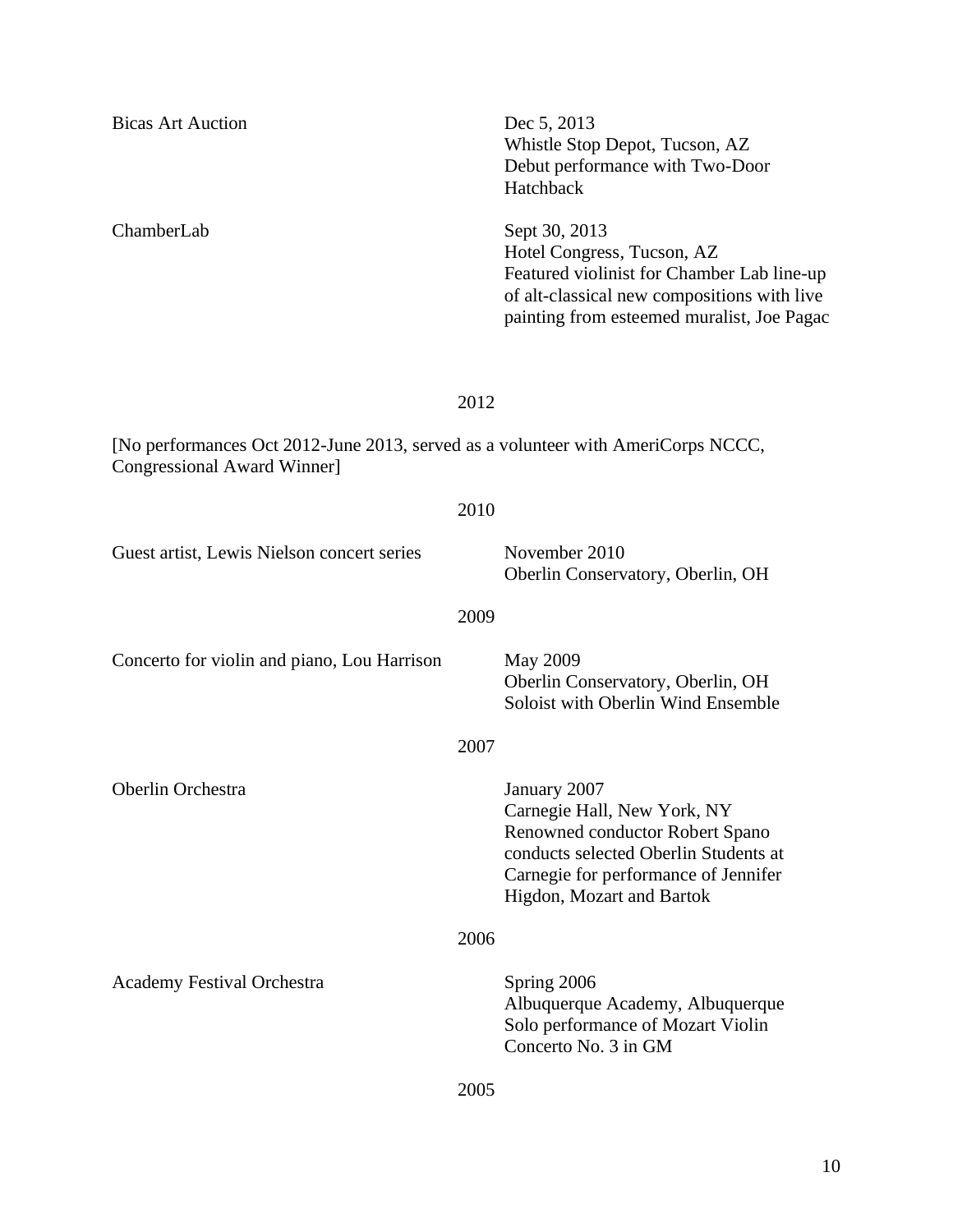| <b>Bicas Art Auction</b>                                                                                        | Dec 5, 2013<br>Whistle Stop Depot, Tucson, AZ<br>Debut performance with Two-Door<br>Hatchback                                                                                                |
|-----------------------------------------------------------------------------------------------------------------|----------------------------------------------------------------------------------------------------------------------------------------------------------------------------------------------|
| ChamberLab                                                                                                      | Sept 30, 2013<br>Hotel Congress, Tucson, AZ<br>Featured violinist for Chamber Lab line-up<br>of alt-classical new compositions with live<br>painting from esteemed muralist, Joe Pagac       |
|                                                                                                                 | 2012                                                                                                                                                                                         |
| [No performances Oct 2012-June 2013, served as a volunteer with AmeriCorps NCCC,<br>Congressional Award Winner] |                                                                                                                                                                                              |
|                                                                                                                 | 2010                                                                                                                                                                                         |
| Guest artist, Lewis Nielson concert series                                                                      | November 2010<br>Oberlin Conservatory, Oberlin, OH                                                                                                                                           |
|                                                                                                                 | 2009                                                                                                                                                                                         |
| Concerto for violin and piano, Lou Harrison                                                                     | <b>May 2009</b><br>Oberlin Conservatory, Oberlin, OH<br>Soloist with Oberlin Wind Ensemble                                                                                                   |
|                                                                                                                 | 2007                                                                                                                                                                                         |
| Oberlin Orchestra                                                                                               | January 2007<br>Carnegie Hall, New York, NY<br>Renowned conductor Robert Spano<br>conducts selected Oberlin Students at<br>Carnegie for performance of Jennifer<br>Higdon, Mozart and Bartok |
|                                                                                                                 | 2006                                                                                                                                                                                         |
| <b>Academy Festival Orchestra</b>                                                                               | Spring 2006<br>Albuquerque Academy, Albuquerque<br>Solo performance of Mozart Violin<br>Concerto No. 3 in GM                                                                                 |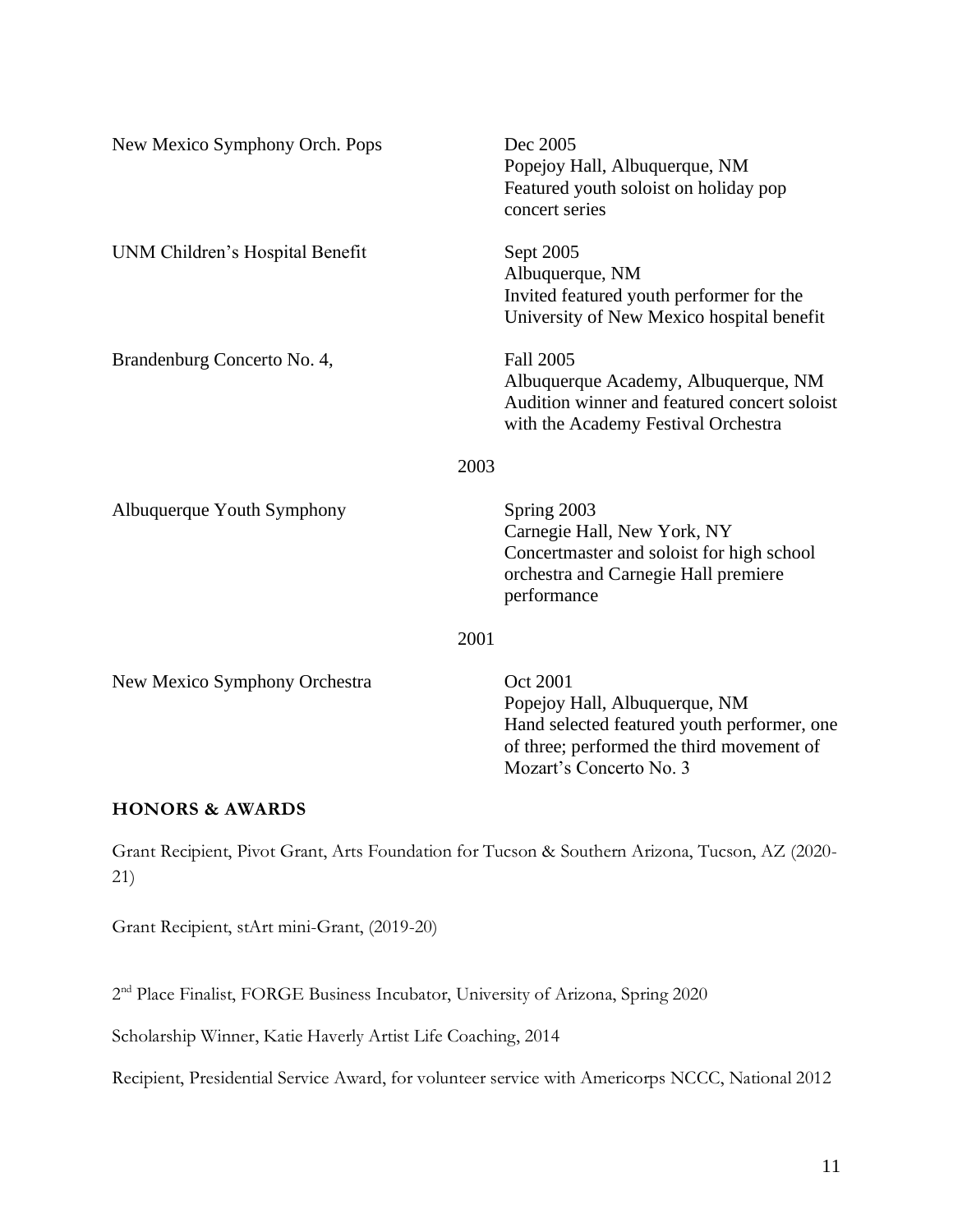| New Mexico Symphony Orch. Pops  | Dec 2005<br>Popejoy Hall, Albuquerque, NM<br>Featured youth soloist on holiday pop<br>concert series                                                             |
|---------------------------------|------------------------------------------------------------------------------------------------------------------------------------------------------------------|
| UNM Children's Hospital Benefit | Sept 2005<br>Albuquerque, NM<br>Invited featured youth performer for the<br>University of New Mexico hospital benefit                                            |
| Brandenburg Concerto No. 4,     | <b>Fall 2005</b><br>Albuquerque Academy, Albuquerque, NM<br>Audition winner and featured concert soloist<br>with the Academy Festival Orchestra                  |
|                                 | 2003                                                                                                                                                             |
| Albuquerque Youth Symphony      | Spring 2003<br>Carnegie Hall, New York, NY<br>Concertmaster and soloist for high school<br>orchestra and Carnegie Hall premiere<br>performance                   |
|                                 | 2001                                                                                                                                                             |
| New Mexico Symphony Orchestra   | Oct 2001<br>Popejoy Hall, Albuquerque, NM<br>Hand selected featured youth performer, one<br>of three; performed the third movement of<br>Mozart's Concerto No. 3 |

# **HONORS & AWARDS**

Grant Recipient, Pivot Grant, Arts Foundation for Tucson & Southern Arizona, Tucson, AZ (2020- 21)

Grant Recipient, stArt mini-Grant, (2019-20)

2<sup>nd</sup> Place Finalist, FORGE Business Incubator, University of Arizona, Spring 2020

Scholarship Winner, Katie Haverly Artist Life Coaching, 2014

Recipient, Presidential Service Award, for volunteer service with Americorps NCCC, National 2012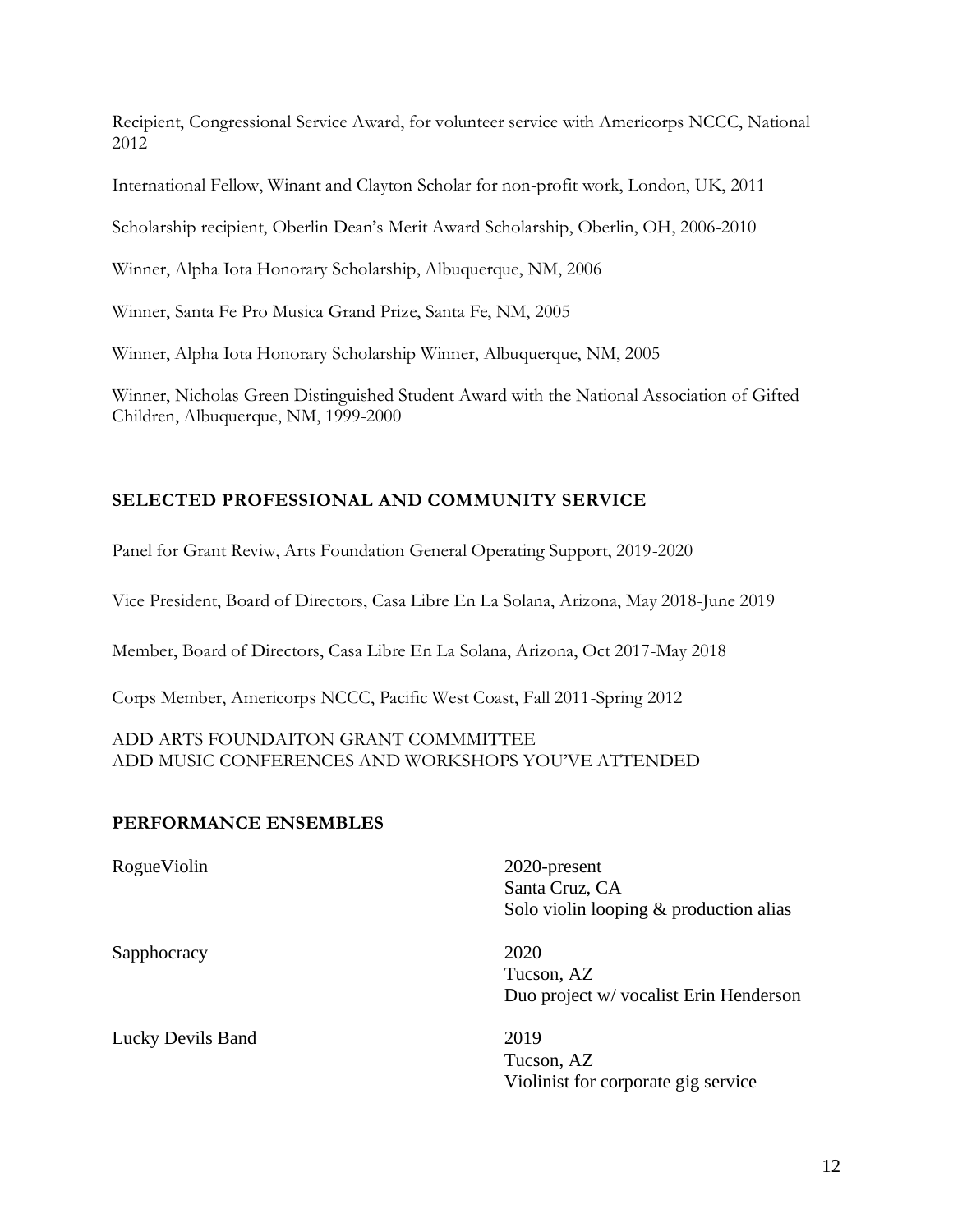Recipient, Congressional Service Award, for volunteer service with Americorps NCCC, National 2012

International Fellow, Winant and Clayton Scholar for non-profit work, London, UK, 2011

Scholarship recipient, Oberlin Dean's Merit Award Scholarship, Oberlin, OH, 2006-2010

Winner, Alpha Iota Honorary Scholarship, Albuquerque, NM, 2006

Winner, Santa Fe Pro Musica Grand Prize, Santa Fe, NM, 2005

Winner, Alpha Iota Honorary Scholarship Winner, Albuquerque, NM, 2005

Winner, Nicholas Green Distinguished Student Award with the National Association of Gifted Children, Albuquerque, NM, 1999-2000

# **SELECTED PROFESSIONAL AND COMMUNITY SERVICE**

Panel for Grant Reviw, Arts Foundation General Operating Support, 2019-2020

Vice President, Board of Directors, Casa Libre En La Solana, Arizona, May 2018-June 2019

Member, Board of Directors, Casa Libre En La Solana, Arizona, Oct 2017-May 2018

Corps Member, Americorps NCCC, Pacific West Coast, Fall 2011-Spring 2012

ADD ARTS FOUNDAITON GRANT COMMMITTEE ADD MUSIC CONFERENCES AND WORKSHOPS YOU'VE ATTENDED

# **PERFORMANCE ENSEMBLES**

RogueViolin 2020-present Santa Cruz, CA Solo violin looping & production alias

Sapphocracy 2020

Tucson, AZ Duo project w/ vocalist Erin Henderson

Tucson, AZ Violinist for corporate gig service

Lucky Devils Band 2019